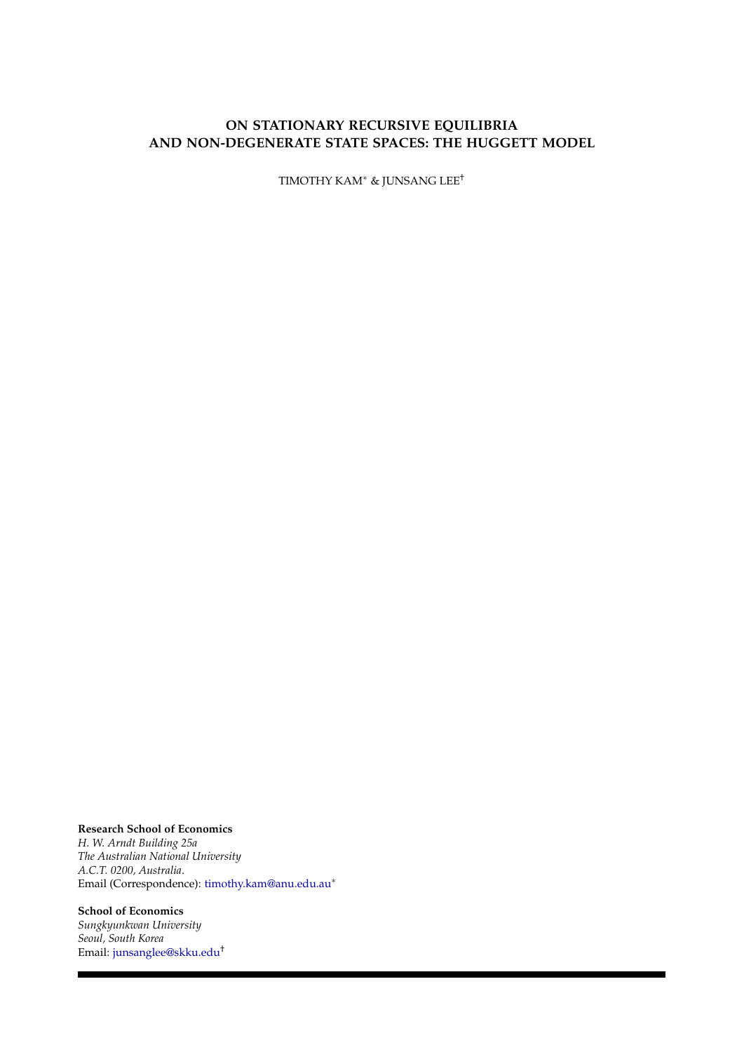# **ON STATIONARY RECURSIVE EQUILIBRIA AND NON-DEGENERATE STATE SPACES: THE HUGGETT MODEL**

TIMOTHY KAM<sup>∗</sup> & JUNSANG LEE†

# **Research School of Economics**

*H. W. Arndt Building 25a The Australian National University A.C.T. 0200, Australia*. Email (Correspondence): [timothy.kam@anu.edu.au](mailto:timothy.kam@anu.edu.au)<sup>∗</sup>

## **School of Economics**

*Sungkyunkwan University Seoul, South Korea* Email: [junsanglee@skku.edu](file:junsanglee@skku.edu)†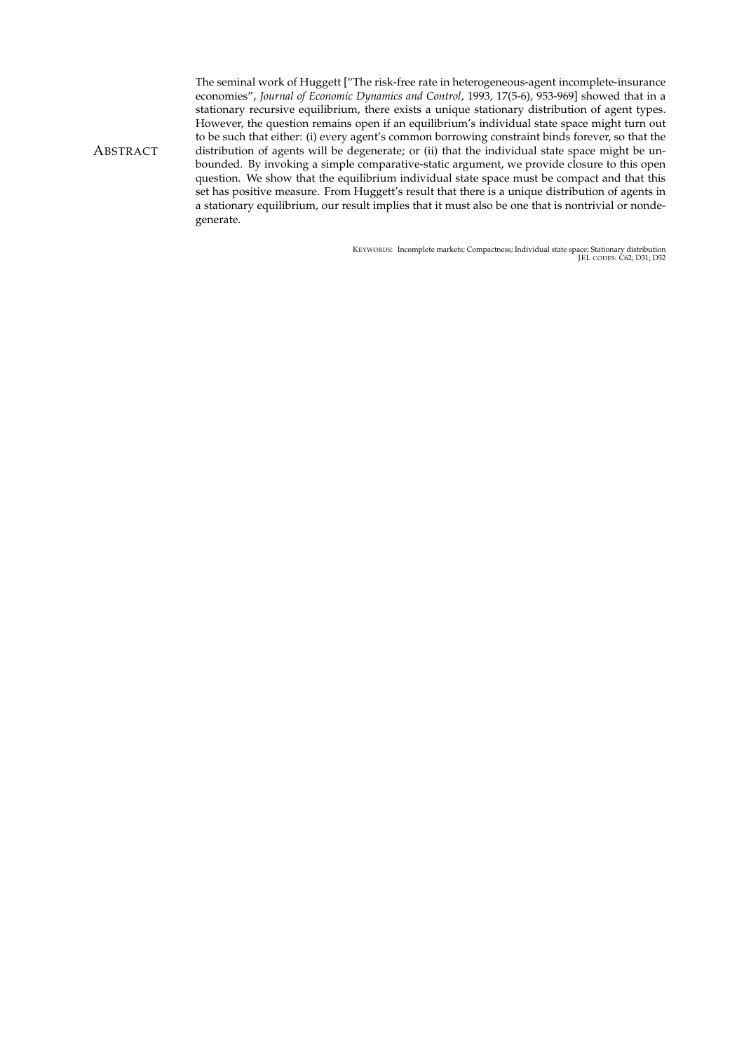The seminal work of Huggett ["The risk-free rate in heterogeneous-agent incomplete-insurance economies", *Journal of Economic Dynamics and Control*, 1993, 17(5-6), 953-969] showed that in a stationary recursive equilibrium, there exists a unique stationary distribution of agent types. However, the question remains open if an equilibrium's individual state space might turn out to be such that either: (i) every agent's common borrowing constraint binds forever, so that the distribution of agents will be degenerate; or (ii) that the individual state space might be unbounded. By invoking a simple comparative-static argument, we provide closure to this open question. We show that the equilibrium individual state space must be compact and that this set has positive measure. From Huggett's result that there is a unique distribution of agents in a stationary equilibrium, our result implies that it must also be one that is nontrivial or nondegenerate.

KEYWORDS: Incomplete markets; Compactness; Individual state space; Stationary distribution JEL CODES: C62; D31; D52

<span id="page-1-0"></span>**ABSTRACT**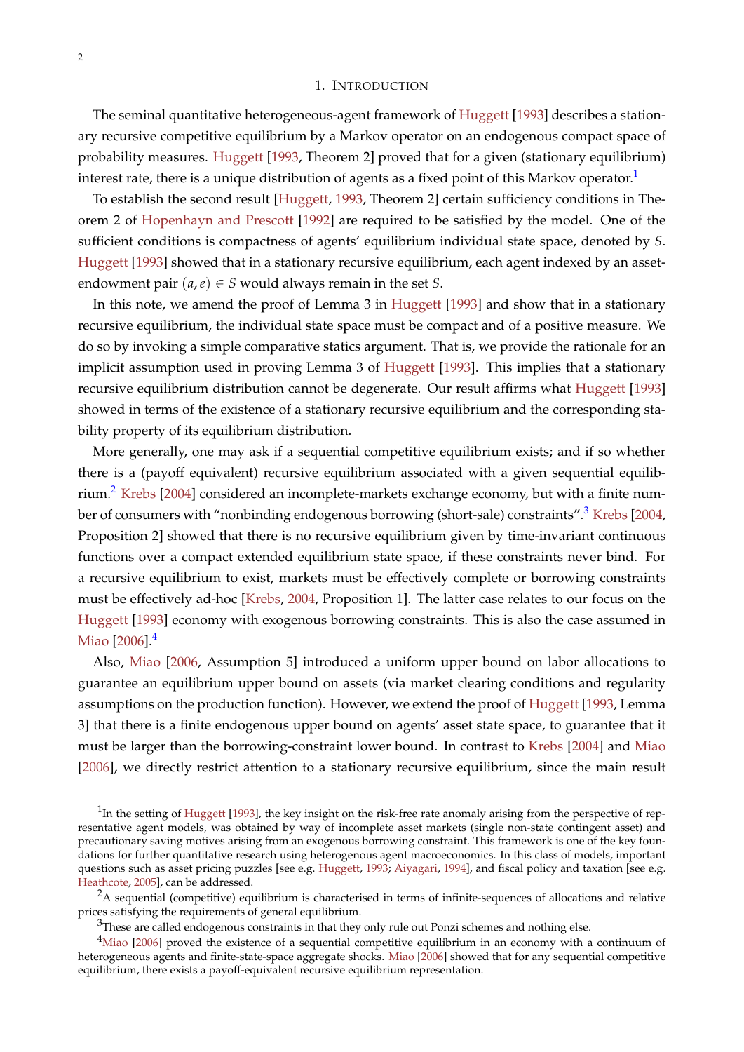## 1. INTRODUCTION

<span id="page-2-4"></span>The seminal quantitative heterogeneous-agent framework of [Huggett](#page-8-0) [\[1993\]](#page-8-0) describes a stationary recursive competitive equilibrium by a Markov operator on an endogenous compact space of probability measures. [Huggett](#page-8-0) [\[1993,](#page-8-0) Theorem 2] proved that for a given (stationary equilibrium) interest rate, there is a unique distribution of agents as a fixed point of this Markov operator.<sup>[1](#page-2-0)</sup>

To establish the second result [\[Huggett,](#page-8-0) [1993,](#page-8-0) Theorem 2] certain sufficiency conditions in Theorem 2 of [Hopenhayn and Prescott](#page-8-1) [\[1992\]](#page-8-1) are required to be satisfied by the model. One of the sufficient conditions is compactness of agents' equilibrium individual state space, denoted by *S*. [Huggett](#page-8-0) [\[1993\]](#page-8-0) showed that in a stationary recursive equilibrium, each agent indexed by an assetendowment pair  $(a, e) \in S$  would always remain in the set *S*.

In this note, we amend the proof of Lemma 3 in [Huggett](#page-8-0) [\[1993\]](#page-8-0) and show that in a stationary recursive equilibrium, the individual state space must be compact and of a positive measure. We do so by invoking a simple comparative statics argument. That is, we provide the rationale for an implicit assumption used in proving Lemma 3 of [Huggett](#page-8-0) [\[1993\]](#page-8-0). This implies that a stationary recursive equilibrium distribution cannot be degenerate. Our result affirms what [Huggett](#page-8-0) [\[1993\]](#page-8-0) showed in terms of the existence of a stationary recursive equilibrium and the corresponding stability property of its equilibrium distribution.

More generally, one may ask if a sequential competitive equilibrium exists; and if so whether there is a (payoff equivalent) recursive equilibrium associated with a given sequential equilib-rium.<sup>[2](#page-2-1)</sup> [Krebs](#page-8-2) [\[2004\]](#page-8-2) considered an incomplete-markets exchange economy, but with a finite num-ber of consumers with "nonbinding endogenous borrowing (short-sale) constraints".<sup>[3](#page-2-2)</sup> [Krebs](#page-8-2) [\[2004,](#page-8-2) Proposition 2] showed that there is no recursive equilibrium given by time-invariant continuous functions over a compact extended equilibrium state space, if these constraints never bind. For a recursive equilibrium to exist, markets must be effectively complete or borrowing constraints must be effectively ad-hoc [\[Krebs,](#page-8-2) [2004,](#page-8-2) Proposition 1]. The latter case relates to our focus on the [Huggett](#page-8-0) [\[1993\]](#page-8-0) economy with exogenous borrowing constraints. This is also the case assumed in [Miao](#page-9-0) [\[2006\]](#page-9-0).<sup>[4](#page-2-3)</sup>

Also, [Miao](#page-9-0) [\[2006,](#page-9-0) Assumption 5] introduced a uniform upper bound on labor allocations to guarantee an equilibrium upper bound on assets (via market clearing conditions and regularity assumptions on the production function). However, we extend the proof of [Huggett](#page-8-0) [\[1993,](#page-8-0) Lemma 3] that there is a finite endogenous upper bound on agents' asset state space, to guarantee that it must be larger than the borrowing-constraint lower bound. In contrast to [Krebs](#page-8-2) [\[2004\]](#page-8-2) and [Miao](#page-9-0) [\[2006\]](#page-9-0), we directly restrict attention to a stationary recursive equilibrium, since the main result

<span id="page-2-0"></span> $1$ In the setting of [Huggett](#page-8-0) [\[1993\]](#page-8-0), the key insight on the risk-free rate anomaly arising from the perspective of representative agent models, was obtained by way of incomplete asset markets (single non-state contingent asset) and precautionary saving motives arising from an exogenous borrowing constraint. This framework is one of the key foundations for further quantitative research using heterogenous agent macroeconomics. In this class of models, important questions such as asset pricing puzzles [see e.g. [Huggett,](#page-8-0) [1993;](#page-8-0) [Aiyagari,](#page-8-3) [1994\]](#page-8-3), and fiscal policy and taxation [see e.g. [Heathcote,](#page-8-4) [2005\]](#page-8-4), can be addressed.

<span id="page-2-1"></span> $2A$  sequential (competitive) equilibrium is characterised in terms of infinite-sequences of allocations and relative prices satisfying the requirements of general equilibrium.

<span id="page-2-3"></span><span id="page-2-2"></span> $3$ These are called endogenous constraints in that they only rule out Ponzi schemes and nothing else.

<sup>&</sup>lt;sup>4</sup>[Miao](#page-9-0) [\[2006\]](#page-9-0) proved the existence of a sequential competitive equilibrium in an economy with a continuum of heterogeneous agents and finite-state-space aggregate shocks. [Miao](#page-9-0) [\[2006\]](#page-9-0) showed that for any sequential competitive equilibrium, there exists a payoff-equivalent recursive equilibrium representation.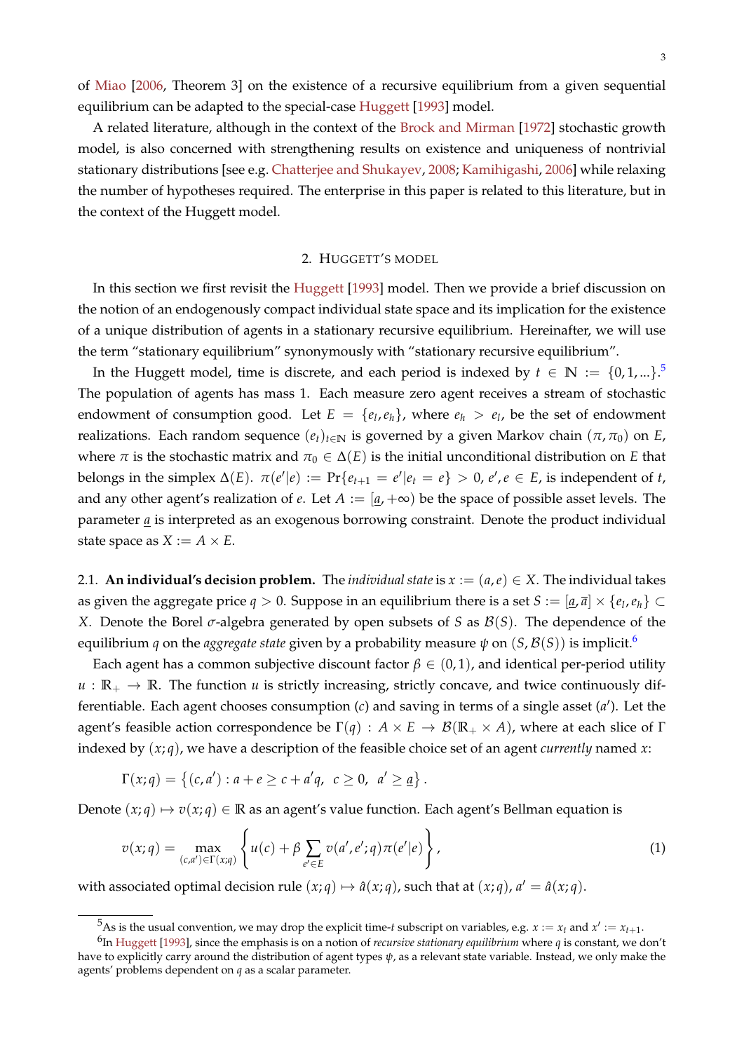<span id="page-3-2"></span>of [Miao](#page-9-0) [\[2006,](#page-9-0) Theorem 3] on the existence of a recursive equilibrium from a given sequential equilibrium can be adapted to the special-case [Huggett](#page-8-0) [\[1993\]](#page-8-0) model.

A related literature, although in the context of the [Brock and Mirman](#page-8-5) [\[1972\]](#page-8-5) stochastic growth model, is also concerned with strengthening results on existence and uniqueness of nontrivial stationary distributions [see e.g. [Chatterjee and Shukayev,](#page-8-6) [2008;](#page-8-6) [Kamihigashi,](#page-8-7) [2006\]](#page-8-7) while relaxing the number of hypotheses required. The enterprise in this paper is related to this literature, but in the context of the Huggett model.

#### 2. HUGGETT'S MODEL

In this section we first revisit the [Huggett](#page-8-0) [\[1993\]](#page-8-0) model. Then we provide a brief discussion on the notion of an endogenously compact individual state space and its implication for the existence of a unique distribution of agents in a stationary recursive equilibrium. Hereinafter, we will use the term "stationary equilibrium" synonymously with "stationary recursive equilibrium".

In the Huggett model, time is discrete, and each period is indexed by  $t \in \mathbb{N} := \{0, 1, ...\}$ .<sup>[5](#page-3-0)</sup> The population of agents has mass 1. Each measure zero agent receives a stream of stochastic endowment of consumption good. Let  $E = \{e_l, e_h\}$ , where  $e_h > e_l$ , be the set of endowment realizations. Each random sequence  $(e_t)_{t \in \mathbb{N}}$  is governed by a given Markov chain  $(\pi, \pi_0)$  on *E*, where  $\pi$  is the stochastic matrix and  $\pi_0 \in \Delta(E)$  is the initial unconditional distribution on *E* that belongs in the simplex  $\Delta(E)$ .  $\pi(e'|e) := \Pr\{e_{t+1} = e'|e_t = e\} > 0$ ,  $e', e \in E$ , is independent of *t*, and any other agent's realization of *e*. Let  $A := [a, +\infty)$  be the space of possible asset levels. The parameter *a* is interpreted as an exogenous borrowing constraint. Denote the product individual state space as  $X := A \times E$ .

2.1. **An individual's decision problem.** The *individual state* is  $x := (a, e) \in X$ . The individual takes as given the aggregate price  $q > 0$ . Suppose in an equilibrium there is a set  $S := [\underline{a}, \overline{a}] \times \{e_l, e_h\} \subset$ *X*. Denote the Borel *σ*-algebra generated by open subsets of *S* as B(*S*). The dependence of the equilibrium *q* on the *aggregate state* given by a probability measure  $\psi$  on  $(S, \mathcal{B}(S))$  is implicit.<sup>[6](#page-3-1)</sup>

Each agent has a common subjective discount factor  $\beta \in (0,1)$ , and identical per-period utility  $u : \mathbb{R}_+ \to \mathbb{R}$ . The function *u* is strictly increasing, strictly concave, and twice continuously differentiable. Each agent chooses consumption (*c*) and saving in terms of a single asset (*a'*). Let the agent's feasible action correspondence be  $\Gamma(q) : A \times E \to \mathcal{B}(\mathbb{R}_+ \times A)$ , where at each slice of  $\Gamma$ indexed by (*x*; *q*), we have a description of the feasible choice set of an agent *currently* named *x*:

$$
\Gamma(x;q) = \{(c,a'): a + e \ge c + a'q, c \ge 0, a' \ge \underline{a}\}.
$$

Denote  $(x; q) \mapsto v(x; q) \in \mathbb{R}$  as an agent's value function. Each agent's Bellman equation is

$$
v(x;q) = \max_{(c,a') \in \Gamma(x;q)} \left\{ u(c) + \beta \sum_{e' \in E} v(a',e';q) \pi(e'|e) \right\},\tag{1}
$$

with associated optimal decision rule  $(x; q) \mapsto \hat{a}(x; q)$ , such that at  $(x; q)$ ,  $a' = \hat{a}(x; q)$ .

<span id="page-3-1"></span><span id="page-3-0"></span><sup>&</sup>lt;sup>5</sup>As is the usual convention, we may drop the explicit time-*t* subscript on variables, e.g.  $x := x_t$  and  $x' := x_{t+1}$ .

<sup>6</sup> In [Huggett](#page-8-0) [\[1993\]](#page-8-0), since the emphasis is on a notion of *recursive stationary equilibrium* where *q* is constant, we don't have to explicitly carry around the distribution of agent types *ψ*, as a relevant state variable. Instead, we only make the agents' problems dependent on *q* as a scalar parameter.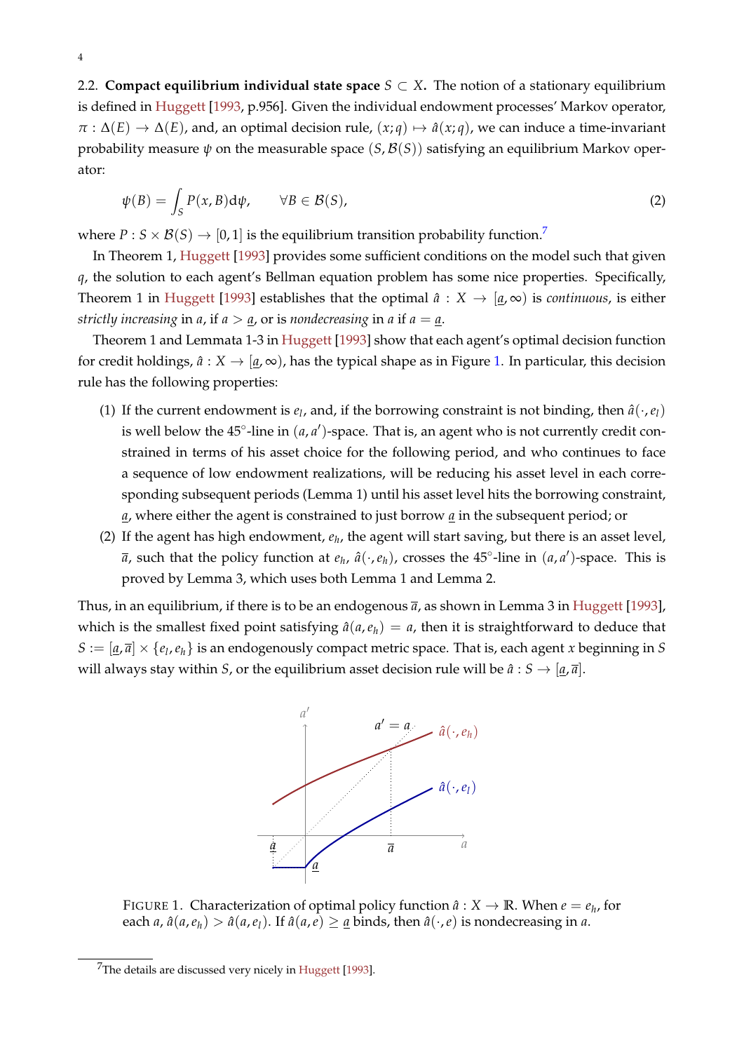<span id="page-4-3"></span>2.2. **Compact equilibrium individual state space**  $S \subset X$ . The notion of a stationary equilibrium is defined in [Huggett](#page-8-0) [\[1993,](#page-8-0) p.956]. Given the individual endowment processes' Markov operator,  $\pi$  :  $\Delta(E) \rightarrow \Delta(E)$ , and, an optimal decision rule,  $(x; q) \mapsto \hat{a}(x; q)$ , we can induce a time-invariant probability measure  $\psi$  on the measurable space  $(S, \mathcal{B}(S))$  satisfying an equilibrium Markov operator:

<span id="page-4-2"></span>
$$
\psi(B) = \int_{S} P(x, B) d\psi, \qquad \forall B \in \mathcal{B}(S), \tag{2}
$$

where  $P: S \times B(S) \rightarrow [0,1]$  is the equilibrium transition probability function.<sup>[7](#page-4-0)</sup>

In Theorem 1, [Huggett](#page-8-0) [\[1993\]](#page-8-0) provides some sufficient conditions on the model such that given *q*, the solution to each agent's Bellman equation problem has some nice properties. Specifically, Theorem 1 in [Huggett](#page-8-0) [\[1993\]](#page-8-0) establishes that the optimal  $\hat{a}: X \to [a,\infty)$  is *continuous*, is either *strictly increasing* in *a*, if  $a > a$ , or is *nondecreasing* in *a* if  $a = a$ .

Theorem 1 and Lemmata 1-3 in [Huggett](#page-8-0) [\[1993\]](#page-8-0) show that each agent's optimal decision function for credit holdings,  $\hat{a}: X \to [a, \infty)$ , has the typical shape as in Figure [1.](#page-4-1) In particular, this decision rule has the following properties:

- (1) If the current endowment is  $e_l$ , and, if the borrowing constraint is not binding, then  $\hat{a}(\cdot, e_l)$ is well below the  $45^\circ$ -line in  $(a, a')$ -space. That is, an agent who is not currently credit constrained in terms of his asset choice for the following period, and who continues to face a sequence of low endowment realizations, will be reducing his asset level in each corresponding subsequent periods (Lemma 1) until his asset level hits the borrowing constraint, *a*, where either the agent is constrained to just borrow *a* in the subsequent period; or
- (2) If the agent has high endowment*, e<sub>h</sub>*, the agent will start saving, but there is an asset level,  $\bar{a}$ , such that the policy function at  $e_h$ ,  $\hat{a}(\cdot,e_h)$ , crosses the 45°-line in  $(a,a')$ -space. This is proved by Lemma 3, which uses both Lemma 1 and Lemma 2.

<span id="page-4-1"></span>Thus, in an equilibrium, if there is to be an endogenous  $\bar{a}$ , as shown in Lemma 3 in [Huggett](#page-8-0) [\[1993\]](#page-8-0), which is the smallest fixed point satisfying  $\hat{a}(a, e_h) = a$ , then it is straightforward to deduce that  $S := [\underline{a}, \overline{a}] \times \{e_l, e_h\}$  is an endogenously compact metric space. That is, each agent *x* beginning in *S* will always stay within *S*, or the equilibrium asset decision rule will be  $\hat{a}: S \to [\underline{a}, \overline{a}]$ .



FIGURE 1. Characterization of optimal policy function  $\hat{a}: X \to \mathbb{R}$ . When  $e = e_h$ , for each *a*,  $\hat{a}(a, e_h) > \hat{a}(a, e_l)$ . If  $\hat{a}(a, e) \geq \underline{a}$  binds, then  $\hat{a}(\cdot, e)$  is nondecreasing in *a*.

<span id="page-4-0"></span><sup>7</sup>The details are discussed very nicely in [Huggett](#page-8-0) [\[1993\]](#page-8-0).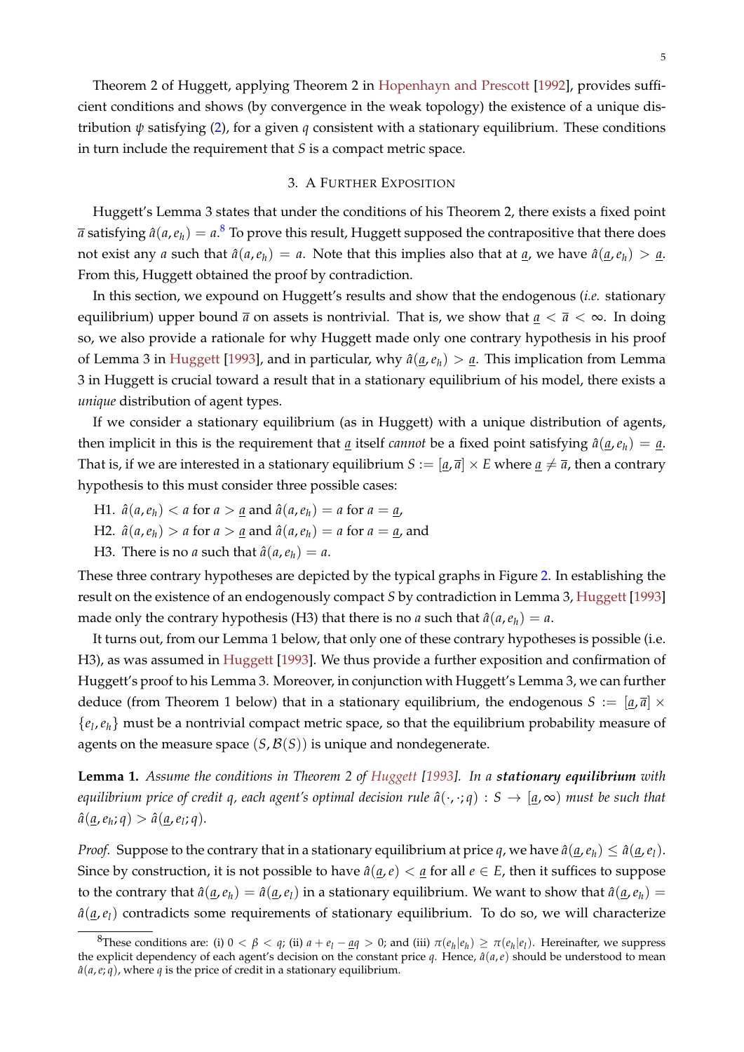## 3. A FURTHER EXPOSITION

<span id="page-5-1"></span>Huggett's Lemma 3 states that under the conditions of his Theorem 2, there exists a fixed point  $\bar{a}$  satisfying  $\hat{a}(a,e_h)=a.^\text{8}$  $\hat{a}(a,e_h)=a.^\text{8}$  $\hat{a}(a,e_h)=a.^\text{8}$  To prove this result, Huggett supposed the contrapositive that there does not exist any *a* such that  $\hat{a}(a, e_h) = a$ . Note that this implies also that at *a*, we have  $\hat{a}(a, e_h) > a$ . From this, Huggett obtained the proof by contradiction.

In this section, we expound on Huggett's results and show that the endogenous (*i.e.* stationary equilibrium) upper bound  $\bar{a}$  on assets is nontrivial. That is, we show that  $\underline{a} < \bar{a} < \infty$ . In doing so, we also provide a rationale for why Huggett made only one contrary hypothesis in his proof of Lemma 3 in [Huggett](#page-8-0) [\[1993\]](#page-8-0), and in particular, why  $\hat{a}(\underline{a},e_h) > \underline{a}$ . This implication from Lemma 3 in Huggett is crucial toward a result that in a stationary equilibrium of his model, there exists a *unique* distribution of agent types.

If we consider a stationary equilibrium (as in Huggett) with a unique distribution of agents, then implicit in this is the requirement that <u>*a*</u> itself *cannot* be a fixed point satisfying  $\hat{a}(a, e_h) = a$ . That is, if we are interested in a stationary equilibrium  $S := [a, \bar{a}] \times E$  where  $a \neq \bar{a}$ , then a contrary hypothesis to this must consider three possible cases:

- H1.  $\hat{a}(a, e_h) < a$  for  $a > a$  and  $\hat{a}(a, e_h) = a$  for  $a = a$ ,
- H2.  $\hat{a}(a, e_h) > a$  for  $a > a$  and  $\hat{a}(a, e_h) = a$  for  $a = a$ , and
- H3. There is no *a* such that  $\hat{a}(a, e_h) = a$ .

These three contrary hypotheses are depicted by the typical graphs in Figure [2.](#page-6-0) In establishing the result on the existence of an endogenously compact *S* by contradiction in Lemma 3, [Huggett](#page-8-0) [\[1993\]](#page-8-0) made only the contrary hypothesis (H3) that there is no *a* such that  $\hat{a}(a, e_h) = a$ .

It turns out, from our Lemma 1 below, that only one of these contrary hypotheses is possible (i.e. H3), as was assumed in [Huggett](#page-8-0) [\[1993\]](#page-8-0). We thus provide a further exposition and confirmation of Huggett's proof to his Lemma 3. Moreover, in conjunction with Huggett's Lemma 3, we can further deduce (from Theorem 1 below) that in a stationary equilibrium, the endogenous  $S := [q, \bar{q}] \times$ {*el* ,*eh*} must be a nontrivial compact metric space, so that the equilibrium probability measure of agents on the measure space  $(S, \mathcal{B}(S))$  is unique and nondegenerate.

**Lemma 1.** *Assume the conditions in Theorem 2 of [Huggett](#page-8-0) [\[1993\]](#page-8-0). In a stationary equilibrium with equilibrium price of credit q, each agent's optimal decision rule*  $\hat{a}(\cdot, \cdot; q) : S \to [a, \infty)$  *must be such that*  $\hat{a}(\underline{a}, e_h; q) > \hat{a}(\underline{a}, e_l; q).$ 

*Proof.* Suppose to the contrary that in a stationary equilibrium at price *q*, we have  $\hat{a}(q, e_h) \leq \hat{a}(q, e_l)$ . Since by construction, it is not possible to have  $\hat{a}(a,e) < a$  for all  $e \in E$ , then it suffices to suppose to the contrary that  $\hat{a}(q, e_h) = \hat{a}(q, e_l)$  in a stationary equilibrium. We want to show that  $\hat{a}(q, e_h) =$  $\hat{a}(a,e_l)$  contradicts some requirements of stationary equilibrium. To do so, we will characterize

<span id="page-5-0"></span><sup>&</sup>lt;sup>8</sup>These conditions are: (i)  $0 < \beta < q$ ; (ii)  $a + e_l - \underline{a}q > 0$ ; and (iii)  $\pi(e_h|e_h) \geq \pi(e_h|e_l)$ . Hereinafter, we suppress the explicit dependency of each agent's decision on the constant price  $q$ . Hence,  $\hat{a}(a,e)$  should be understood to mean  $\hat{a}(a,e;q)$ , where *q* is the price of credit in a stationary equilibrium.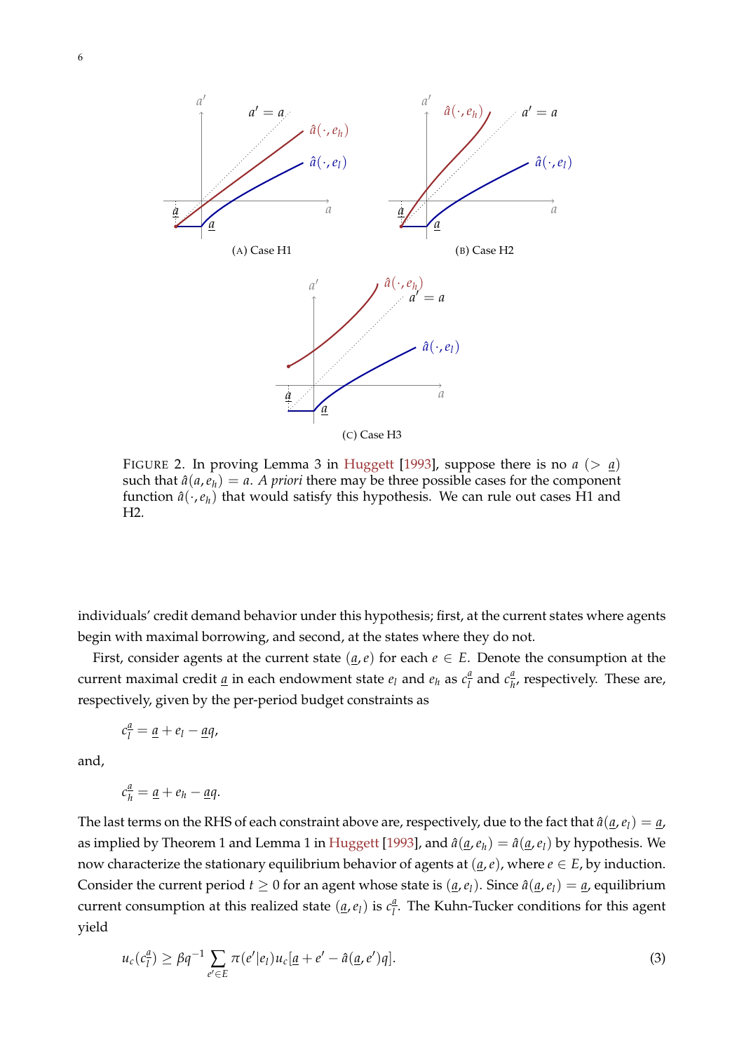<span id="page-6-2"></span><span id="page-6-0"></span>

FIGURE 2. In proving Lemma 3 in [Huggett](#page-8-0) [\[1993\]](#page-8-0), suppose there is no  $a (> a)$ such that  $\hat{a}(a, e_h) = a$ . *A priori* there may be three possible cases for the component function  $\hat{a}(\cdot, e_h)$  that would satisfy this hypothesis. We can rule out cases H1 and H2.

individuals' credit demand behavior under this hypothesis; first, at the current states where agents begin with maximal borrowing, and second, at the states where they do not.

First, consider agents at the current state  $(a, e)$  for each  $e \in E$ . Denote the consumption at the current maximal credit <u>a</u> in each endowment state  $e_l$  and  $e_h$  as  $c_l^a$  $\frac{a}{l}$  and  $c_{h}^{\frac{a}{l}}$  $\frac{u}{h}$ , respectively. These are, respectively, given by the per-period budget constraints as

$$
c_l^{\underline{a}} = \underline{a} + e_l - \underline{a}q,
$$

and,

$$
c_{h}^{\underline{a}}=\underline{a}+e_{h}-\underline{a}q.
$$

The last terms on the RHS of each constraint above are, respectively, due to the fact that  $\hat{a}(\underline{a},e_l) = \underline{a}$ , as implied by Theorem 1 and Lemma 1 in [Huggett](#page-8-0) [\[1993\]](#page-8-0), and  $\hat{a}(\underline{a},e_h) = \hat{a}(\underline{a},e_l)$  by hypothesis. We now characterize the stationary equilibrium behavior of agents at  $(a, e)$ , where  $e \in E$ , by induction. Consider the current period  $t \geq 0$  for an agent whose state is  $(a, e_l)$ . Since  $\hat{a}(a, e_l) = a$ , equilibrium current consumption at this realized state  $(\underline{a}, e_l)$  is  $c_l^{\underline{a}}$  $\frac{u}{l}$ . The Kuhn-Tucker conditions for this agent yield

<span id="page-6-1"></span>
$$
u_c(c_l^{\underline{a}}) \ge \beta q^{-1} \sum_{e' \in E} \pi(e' | e_l) u_c[\underline{a} + e' - \hat{a}(\underline{a}, e')q]. \tag{3}
$$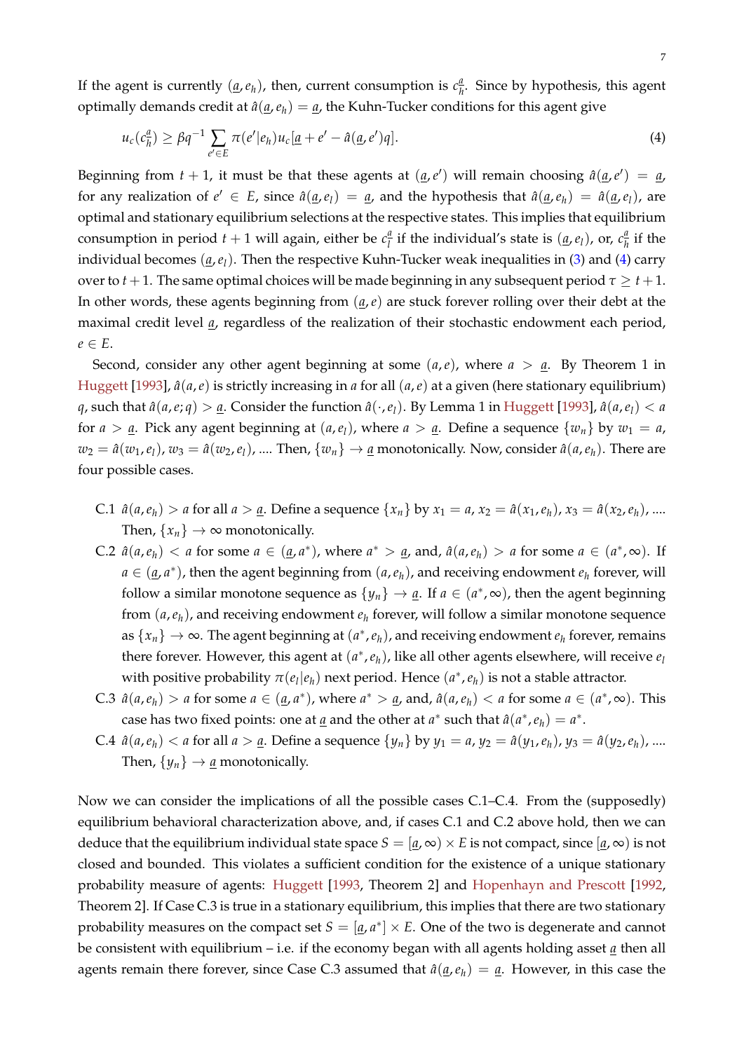<span id="page-7-1"></span>If the agent is currently  $(\underline{a}, e_h)$ , then, current consumption is  $c_h^{\underline{a}}$  $\frac{u}{h}$ . Since by hypothesis, this agent optimally demands credit at  $\hat{a}(\underline{a},e_h) = \underline{a}$ , the Kuhn-Tucker conditions for this agent give

<span id="page-7-0"></span>
$$
u_c(c_h^a) \ge \beta q^{-1} \sum_{e' \in E} \pi(e'|e_h) u_c[\underline{a} + e' - \hat{a}(\underline{a}, e')q]. \tag{4}
$$

Beginning from  $t + 1$ , it must be that these agents at  $(\underline{a}, e')$  will remain choosing  $\hat{a}(\underline{a}, e') = \underline{a}$ for any realization of  $e' \in E$ , since  $\hat{a}(\underline{a},e_l) = \underline{a}$ , and the hypothesis that  $\hat{a}(\underline{a},e_h) = \hat{a}(\underline{a},e_l)$ , are optimal and stationary equilibrium selections at the respective states. This implies that equilibrium consumption in period  $t + 1$  will again, either be  $c_1^d$  $\frac{a}{l}$  if the individual's state is  $(\underline{a}, e_l)$ , or,  $c_{\overline{h}}^{\underline{a}}$  $\frac{u}{h}$  if the individual becomes (*a*,*el*). Then the respective Kuhn-Tucker weak inequalities in [\(3\)](#page-6-1) and [\(4\)](#page-7-0) carry over to  $t + 1$ . The same optimal choices will be made beginning in any subsequent period  $\tau \geq t + 1$ . In other words, these agents beginning from (*a*,*e*) are stuck forever rolling over their debt at the maximal credit level *a*, regardless of the realization of their stochastic endowment each period,  $e \in E$ .

Second, consider any other agent beginning at some  $(a,e)$ , where  $a > a$ . By Theorem 1 in [Huggett](#page-8-0) [\[1993\]](#page-8-0),  $\hat{a}(a,e)$  is strictly increasing in *a* for all  $(a,e)$  at a given (here stationary equilibrium) *q*, such that  $\hat{a}(a,e;q) > a$ . Consider the function  $\hat{a}(\cdot,e_l)$ . By Lemma 1 in [Huggett](#page-8-0) [\[1993\]](#page-8-0),  $\hat{a}(a,e_l) < a$ for  $a > a$ . Pick any agent beginning at  $(a, e_l)$ , where  $a > a$ . Define a sequence  $\{w_n\}$  by  $w_1 = a$ ,  $w_2 = \hat{a}(w_1, e_1)$ ,  $w_3 = \hat{a}(w_2, e_1)$ , .... Then,  $\{w_n\} \to \underline{a}$  monotonically. Now, consider  $\hat{a}(a, e_h)$ . There are four possible cases.

- C.1  $\hat{a}(a, e_h) > a$  for all  $a > a$ . Define a sequence  $\{x_n\}$  by  $x_1 = a$ ,  $x_2 = \hat{a}(x_1, e_h)$ ,  $x_3 = \hat{a}(x_2, e_h)$ , ... Then,  $\{x_n\} \rightarrow \infty$  monotonically.
- C.2  $\hat{a}(a, e_h) < a$  for some  $a \in (a, a^*)$ , where  $a^* > a$ , and,  $\hat{a}(a, e_h) > a$  for some  $a \in (a^*, \infty)$ . If  $a \in (a, a^*)$ , then the agent beginning from  $(a, e_h)$ , and receiving endowment  $e_h$  forever, will follow a similar monotone sequence as  $\{y_n\} \to \underline{a}$ . If  $a \in (a^*, \infty)$ , then the agent beginning from (*a*,*eh*), and receiving endowment *e<sup>h</sup>* forever, will follow a similar monotone sequence as  $\{x_n\} \to \infty$ . The agent beginning at  $(a^*, e_h)$ , and receiving endowment  $e_h$  forever, remains there forever. However, this agent at  $(a<sup>∗</sup>, e<sub>h</sub>)$ , like all other agents elsewhere, will receive *e*<sup>*l*</sup> with positive probability  $\pi(e_l|e_h)$  next period. Hence  $(a^*, e_h)$  is not a stable attractor.
- C.3  $\hat{a}(a, e_h) > a$  for some  $a \in (a, a^*)$ , where  $a^* > a$ , and,  $\hat{a}(a, e_h) < a$  for some  $a \in (a^*, \infty)$ . This case has two fixed points: one at <u>*a*</u> and the other at *a*<sup>\*</sup> such that  $\hat{a}(a^*, e_h) = a^*$ .
- C.4  $\hat{a}(a, e_h) < a$  for all  $a > a$ . Define a sequence  $\{y_n\}$  by  $y_1 = a$ ,  $y_2 = \hat{a}(y_1, e_h)$ ,  $y_3 = \hat{a}(y_2, e_h)$ , ... Then,  $\{y_n\} \rightarrow \underline{a}$  monotonically.

Now we can consider the implications of all the possible cases C.1–C.4. From the (supposedly) equilibrium behavioral characterization above, and, if cases C.1 and C.2 above hold, then we can deduce that the equilibrium individual state space  $S = [a, \infty) \times E$  is not compact, since  $[a, \infty)$  is not closed and bounded. This violates a sufficient condition for the existence of a unique stationary probability measure of agents: [Huggett](#page-8-0) [\[1993,](#page-8-0) Theorem 2] and [Hopenhayn and Prescott](#page-8-1) [\[1992,](#page-8-1) Theorem 2]. If Case C.3 is true in a stationary equilibrium, this implies that there are two stationary probability measures on the compact set  $S = [\underline{a}, a^*] \times E$ . One of the two is degenerate and cannot be consistent with equilibrium – i.e. if the economy began with all agents holding asset *a* then all agents remain there forever, since Case C.3 assumed that  $\hat{a}(\underline{a},e_h) = \underline{a}$ . However, in this case the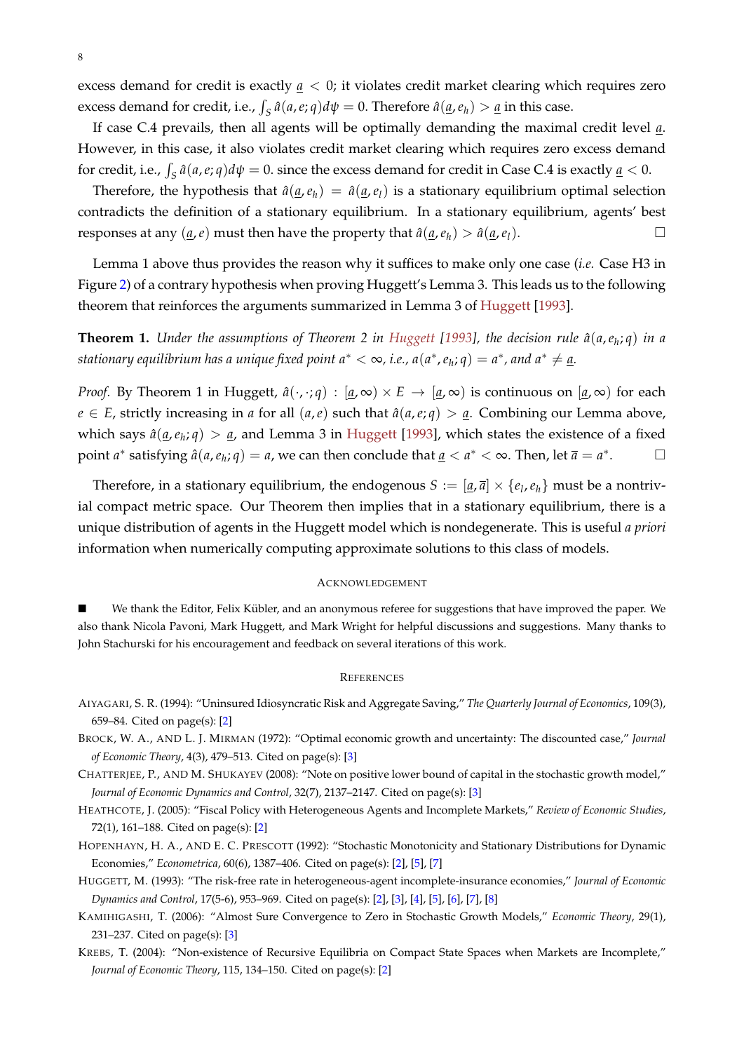excess demand for credit is exactly *a* < 0; it violates credit market clearing which requires zero excess demand for credit, i.e.,  $\int_S \hat{a}(a,e;q)d\psi = 0$ . Therefore  $\hat{a}(\underline{a},e_h) > \underline{a}$  in this case.

If case C.4 prevails, then all agents will be optimally demanding the maximal credit level *a*. However, in this case, it also violates credit market clearing which requires zero excess demand for credit, i.e.,  $\int_S \hat{a}(a,e;q) d\psi = 0$ . since the excess demand for credit in Case C.4 is exactly <u>a</u> < 0.

Therefore, the hypothesis that  $\hat{a}(\underline{a},e_h) = \hat{a}(\underline{a},e_l)$  is a stationary equilibrium optimal selection contradicts the definition of a stationary equilibrium. In a stationary equilibrium, agents' best responses at any  $(\underline{a}, e)$  must then have the property that  $\hat{a}(\underline{a}, e_h) > \hat{a}(\underline{a}, e_l)$ .

Lemma 1 above thus provides the reason why it suffices to make only one case (*i.e.* Case H3 in Figure [2\)](#page-6-0) of a contrary hypothesis when proving Huggett's Lemma 3. This leads us to the following theorem that reinforces the arguments summarized in Lemma 3 of [Huggett](#page-8-0) [\[1993\]](#page-8-0).

**Theorem 1.** *Under the assumptions of Theorem 2 in [Huggett](#page-8-0) [\[1993\]](#page-8-0), the decision rule a*ˆ(*a*,*e<sup>h</sup>* ; *q*) *in a*  $s$  *stationary equilibrium has a unique fixed point*  $a^* < \infty$ *, i.e.,*  $a(a^*,e_h;q) = a^*$ *, and*  $a^* \neq \underline{a}.$ 

*Proof.* By Theorem 1 in Huggett,  $\hat{a}(\cdot,\cdot;q) : [a,\infty) \times E \to [a,\infty)$  is continuous on  $[a,\infty)$  for each  $e \in E$ , strictly increasing in *a* for all  $(a, e)$  such that  $\hat{a}(a, e; q) > a$ . Combining our Lemma above, which says  $\hat{a}(\underline{a},e_h;q) > \underline{a}$ , and Lemma 3 in [Huggett](#page-8-0) [\[1993\]](#page-8-0), which states the existence of a fixed point  $a^*$  satisfying  $\hat{a}(a, e_h; q) = a$ , we can then conclude that  $\underline{a} < a^* < \infty$ . Then, let  $\overline{a} = a^*$  $\Box$ 

Therefore, in a stationary equilibrium, the endogenous  $S := [\underline{a}, \overline{a}] \times \{e_l, e_h\}$  must be a nontrivial compact metric space. Our Theorem then implies that in a stationary equilibrium, there is a unique distribution of agents in the Huggett model which is nondegenerate. This is useful *a priori* information when numerically computing approximate solutions to this class of models.

#### ACKNOWLEDGEMENT

We thank the Editor, Felix Kübler, and an anonymous referee for suggestions that have improved the paper. We also thank Nicola Pavoni, Mark Huggett, and Mark Wright for helpful discussions and suggestions. Many thanks to John Stachurski for his encouragement and feedback on several iterations of this work.

#### **REFERENCES**

- <span id="page-8-3"></span>AIYAGARI, S. R. (1994): "Uninsured Idiosyncratic Risk and Aggregate Saving," *The Quarterly Journal of Economics*, 109(3), 659–84. Cited on page(s): [\[2\]](#page-1-0)
- <span id="page-8-5"></span>BROCK, W. A., AND L. J. MIRMAN (1972): "Optimal economic growth and uncertainty: The discounted case," *Journal of Economic Theory*, 4(3), 479–513. Cited on page(s): [\[3\]](#page-2-4)
- <span id="page-8-6"></span>CHATTERJEE, P., AND M. SHUKAYEV (2008): "Note on positive lower bound of capital in the stochastic growth model," *Journal of Economic Dynamics and Control*, 32(7), 2137–2147. Cited on page(s): [\[3\]](#page-2-4)
- <span id="page-8-4"></span>HEATHCOTE, J. (2005): "Fiscal Policy with Heterogeneous Agents and Incomplete Markets," *Review of Economic Studies*, 72(1), 161–188. Cited on page(s): [\[2\]](#page-1-0)
- <span id="page-8-1"></span>HOPENHAYN, H. A., AND E. C. PRESCOTT (1992): "Stochastic Monotonicity and Stationary Distributions for Dynamic Economies," *Econometrica*, 60(6), 1387–406. Cited on page(s): [\[2\]](#page-1-0), [\[5\]](#page-4-3), [\[7\]](#page-6-2)
- <span id="page-8-0"></span>HUGGETT, M. (1993): "The risk-free rate in heterogeneous-agent incomplete-insurance economies," *Journal of Economic Dynamics and Control*, 17(5-6), 953–969. Cited on page(s): [\[2\]](#page-1-0), [\[3\]](#page-2-4), [\[4\]](#page-3-2), [\[5\]](#page-4-3), [\[6\]](#page-5-1), [\[7\]](#page-6-2), [\[8\]](#page-7-1)
- <span id="page-8-7"></span>KAMIHIGASHI, T. (2006): "Almost Sure Convergence to Zero in Stochastic Growth Models," *Economic Theory*, 29(1), 231–237. Cited on page(s): [\[3\]](#page-2-4)
- <span id="page-8-2"></span>KREBS, T. (2004): "Non-existence of Recursive Equilibria on Compact State Spaces when Markets are Incomplete," *Journal of Economic Theory*, 115, 134–150. Cited on page(s): [\[2\]](#page-1-0)